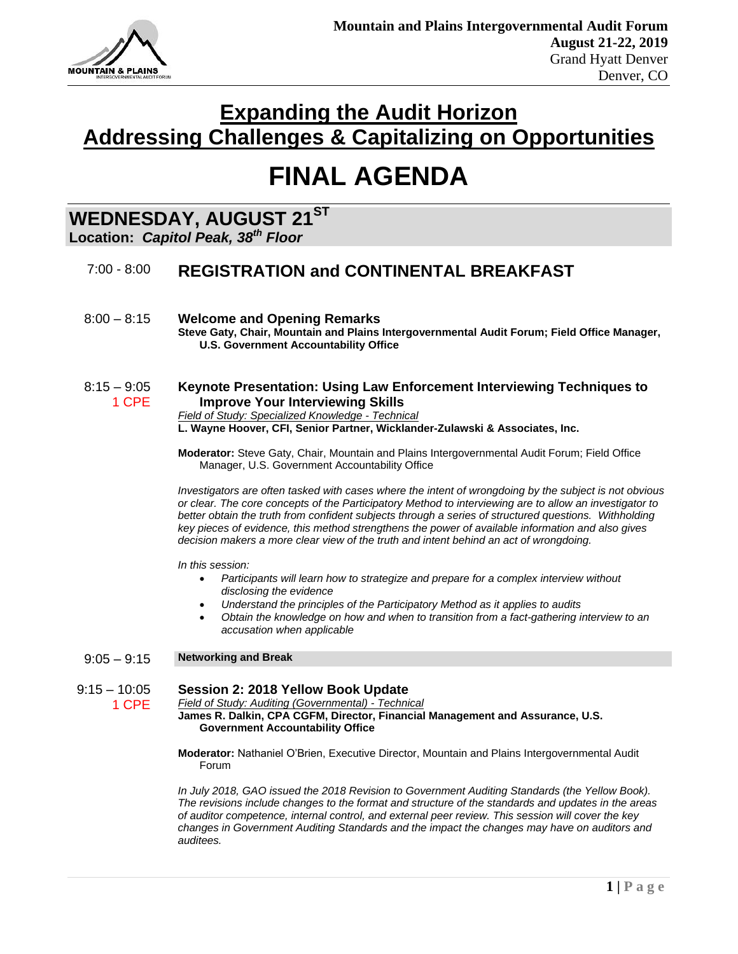

# **FINAL AGENDA**

## **WEDNESDAY, AUGUST 21ST**

**Location:** *Capitol Peak, 38th Floor*

### 7:00 - 8:00 **REGISTRATION and CONTINENTAL BREAKFAST**

8:00 – 8:15 **Welcome and Opening Remarks Steve Gaty, Chair, Mountain and Plains Intergovernmental Audit Forum; Field Office Manager, U.S. Government Accountability Office** 

#### 8:15 – 9:05 1 CPE **Keynote Presentation: Using Law Enforcement Interviewing Techniques to Improve Your Interviewing Skills**

*Field of Study: Specialized Knowledge - Technical*

**L. Wayne Hoover, CFI, Senior Partner, Wicklander-Zulawski & Associates, Inc.**

**Moderator:** Steve Gaty, Chair, Mountain and Plains Intergovernmental Audit Forum; Field Office Manager, U.S. Government Accountability Office

*Investigators are often tasked with cases where the intent of wrongdoing by the subject is not obvious or clear. The core concepts of the Participatory Method to interviewing are to allow an investigator to better obtain the truth from confident subjects through a series of structured questions. Withholding key pieces of evidence, this method strengthens the power of available information and also gives decision makers a more clear view of the truth and intent behind an act of wrongdoing.*

*In this session:*

- *Participants will learn how to strategize and prepare for a complex interview without disclosing the evidence*
- *Understand the principles of the Participatory Method as it applies to audits*
- *Obtain the knowledge on how and when to transition from a fact-gathering interview to an accusation when applicable*

### 9:05 – 9:15 **Networking and Break**

#### $9:15 - 10:05$ **Session 2: 2018 Yellow Book Update**

1 CPE

*Field of Study: Auditing (Governmental) - Technical* **James R. Dalkin, CPA CGFM, Director, Financial Management and Assurance, U.S. Government Accountability Office**

**Moderator:** Nathaniel O'Brien, Executive Director, Mountain and Plains Intergovernmental Audit Forum

*In July 2018, GAO issued the 2018 Revision to Government Auditing Standards (the Yellow Book). The revisions include changes to the format and structure of the standards and updates in the areas of auditor competence, internal control, and external peer review. This session will cover the key changes in Government Auditing Standards and the impact the changes may have on auditors and auditees.*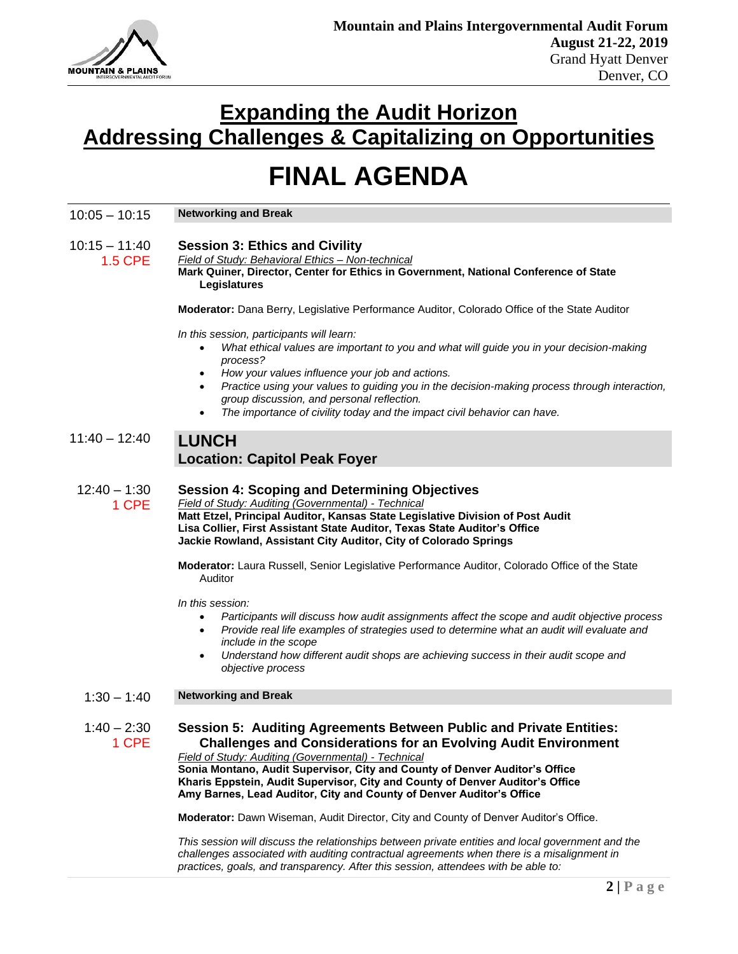

1.5 CPE

## **Expanding the Audit Horizon Addressing Challenges & Capitalizing on Opportunities**

# **FINAL AGENDA**

| $10:05 - 10:15$ | <b>Networking and Break</b> |
|-----------------|-----------------------------|
|-----------------|-----------------------------|

#### $10:15 - 11:40$ **Session 3: Ethics and Civility**

*Field of Study: Behavioral Ethics – Non-technical* **Mark Quiner, Director, Center for Ethics in Government, National Conference of State Legislatures**

**Moderator:** Dana Berry, Legislative Performance Auditor, Colorado Office of the State Auditor

*In this session, participants will learn:*

- *What ethical values are important to you and what will guide you in your decision-making process?*
- *How your values influence your job and actions.*
- *Practice using your values to guiding you in the decision-making process through interaction, group discussion, and personal reflection.*
- *The importance of civility today and the impact civil behavior can have.*

### 11:40 – 12:40 **LUNCH Location: Capitol Peak Foyer**

 $12:40 - 1:30$ 1 CPE **Session 4: Scoping and Determining Objectives** *Field of Study: Auditing (Governmental) - Technical* **Matt Etzel, Principal Auditor, Kansas State Legislative Division of Post Audit Lisa Collier, First Assistant State Auditor, Texas State Auditor's Office**

**Jackie Rowland, Assistant City Auditor, City of Colorado Springs**

**Moderator:** Laura Russell, Senior Legislative Performance Auditor, Colorado Office of the State Auditor

*In this session:*

- *Participants will discuss how audit assignments affect the scope and audit objective process*
- *Provide real life examples of strategies used to determine what an audit will evaluate and include in the scope*
- *Understand how different audit shops are achieving success in their audit scope and objective process*

### 1:30 – 1:40 **Networking and Break**

 $1:40 - 2:30$ 1 CPE **Session 5: Auditing Agreements Between Public and Private Entities: Challenges and Considerations for an Evolving Audit Environment**

*Field of Study: Auditing (Governmental) - Technical* **Sonia Montano, Audit Supervisor, City and County of Denver Auditor's Office Kharis Eppstein, Audit Supervisor, City and County of Denver Auditor's Office Amy Barnes, Lead Auditor, City and County of Denver Auditor's Office**

**Moderator:** Dawn Wiseman, Audit Director, City and County of Denver Auditor's Office.

*This session will discuss the relationships between private entities and local government and the challenges associated with auditing contractual agreements when there is a misalignment in practices, goals, and transparency. After this session, attendees with be able to:*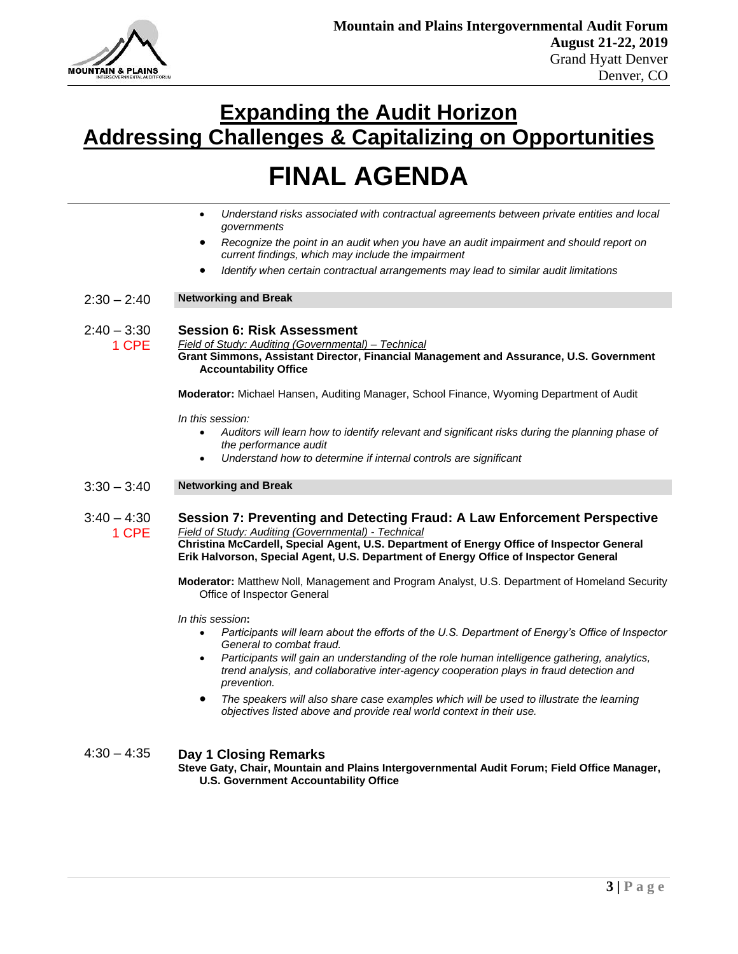

# **FINAL AGENDA**

- *Understand risks associated with contractual agreements between private entities and local governments*
- *Recognize the point in an audit when you have an audit impairment and should report on current findings, which may include the impairment*
- *Identify when certain contractual arrangements may lead to similar audit limitations*

### 2:30 – 2:40 **Networking and Break**

1 CPE

#### $2:40 - 3:30$ **Session 6: Risk Assessment**

*Field of Study: Auditing (Governmental) – Technical* **Grant Simmons, Assistant Director, Financial Management and Assurance, U.S. Government Accountability Office**

**Moderator:** Michael Hansen, Auditing Manager, School Finance, Wyoming Department of Audit

*In this session:*

- *Auditors will learn how to identify relevant and significant risks during the planning phase of the performance audit*
- *Understand how to determine if internal controls are significant*

### 3:30 – 3:40 **Networking and Break**

 $3:40 - 4:30$ 1 CPE **Session 7: Preventing and Detecting Fraud: A Law Enforcement Perspective** *Field of Study: Auditing (Governmental) - Technical* **Christina McCardell, Special Agent, U.S. Department of Energy Office of Inspector General Erik Halvorson, Special Agent, U.S. Department of Energy Office of Inspector General**

> **Moderator:** Matthew Noll, Management and Program Analyst, U.S. Department of Homeland Security Office of Inspector General

*In this session***:** 

- *Participants will learn about the efforts of the U.S. Department of Energy's Office of Inspector General to combat fraud.*
- *Participants will gain an understanding of the role human intelligence gathering, analytics, trend analysis, and collaborative inter-agency cooperation plays in fraud detection and prevention.*
- *The speakers will also share case examples which will be used to illustrate the learning objectives listed above and provide real world context in their use.*

4:30 – 4:35 **Day 1 Closing Remarks Steve Gaty, Chair, Mountain and Plains Intergovernmental Audit Forum; Field Office Manager, U.S. Government Accountability Office**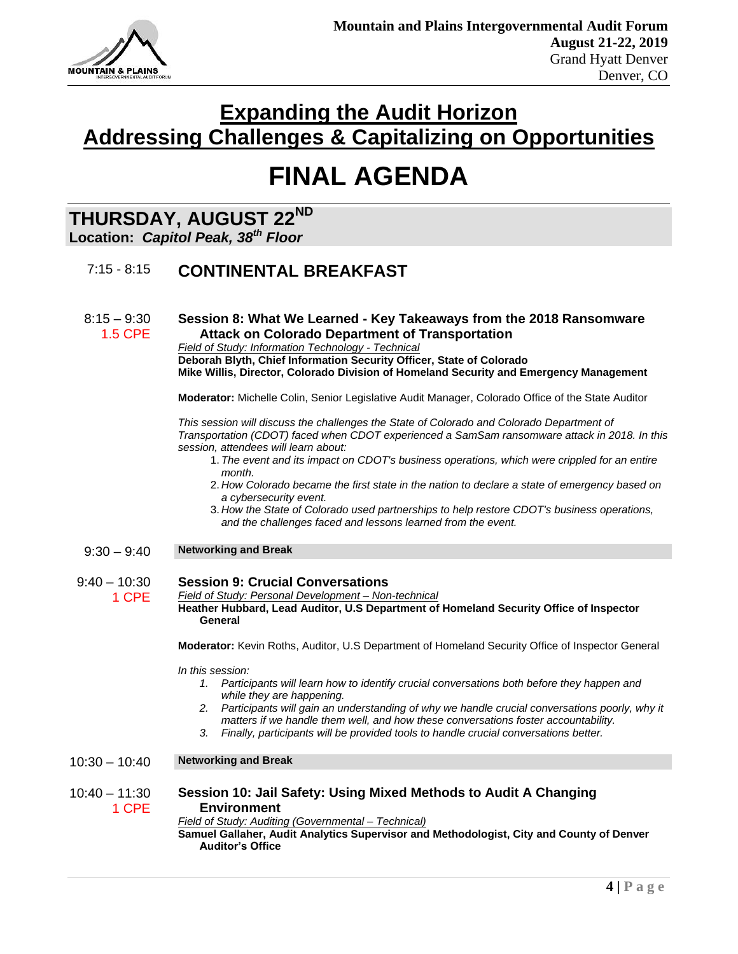

# **FINAL AGENDA**

### **THURSDAY, AUGUST 22ND**

### **Location:** *Capitol Peak, 38th Floor*

### 7:15 - 8:15 **CONTINENTAL BREAKFAST**

 $8:15 - 9:30$ 1.5 CPE **Session 8: What We Learned - Key Takeaways from the 2018 Ransomware Attack on Colorado Department of Transportation** *Field of Study: Information Technology - Technical*

**Deborah Blyth, Chief Information Security Officer, State of Colorado Mike Willis, Director, Colorado Division of Homeland Security and Emergency Management**

**Moderator:** Michelle Colin, Senior Legislative Audit Manager, Colorado Office of the State Auditor

*This session will discuss the challenges the State of Colorado and Colorado Department of Transportation (CDOT) faced when CDOT experienced a SamSam ransomware attack in 2018. In this session, attendees will learn about:* 

- 1. *The event and its impact on CDOT's business operations, which were crippled for an entire month.*
- 2. *How Colorado became the first state in the nation to declare a state of emergency based on a cybersecurity event.*
- 3. *How the State of Colorado used partnerships to help restore CDOT's business operations, and the challenges faced and lessons learned from the event.*
- 9:30 9:40 **Networking and Break**

#### $9:40 - 10:30$ 1 CPE **Session 9: Crucial Conversations** *Field of Study: Personal Development – Non-technical* **Heather Hubbard, Lead Auditor, U.S Department of Homeland Security Office of Inspector General**

**Moderator:** Kevin Roths, Auditor, U.S Department of Homeland Security Office of Inspector General

*In this session:*

- *1. Participants will learn how to identify crucial conversations both before they happen and while they are happening.*
- *2. Participants will gain an understanding of why we handle crucial conversations poorly, why it matters if we handle them well, and how these conversations foster accountability.*
- *3. Finally, participants will be provided tools to handle crucial conversations better.*

### 10:30 – 10:40 **Networking and Break**

 $10:40 - 11:30$ 

1 CPE **Session 10: Jail Safety: Using Mixed Methods to Audit A Changing Environment**

*Field of Study: Auditing (Governmental – Technical)*

**Samuel Gallaher, Audit Analytics Supervisor and Methodologist, City and County of Denver Auditor's Office**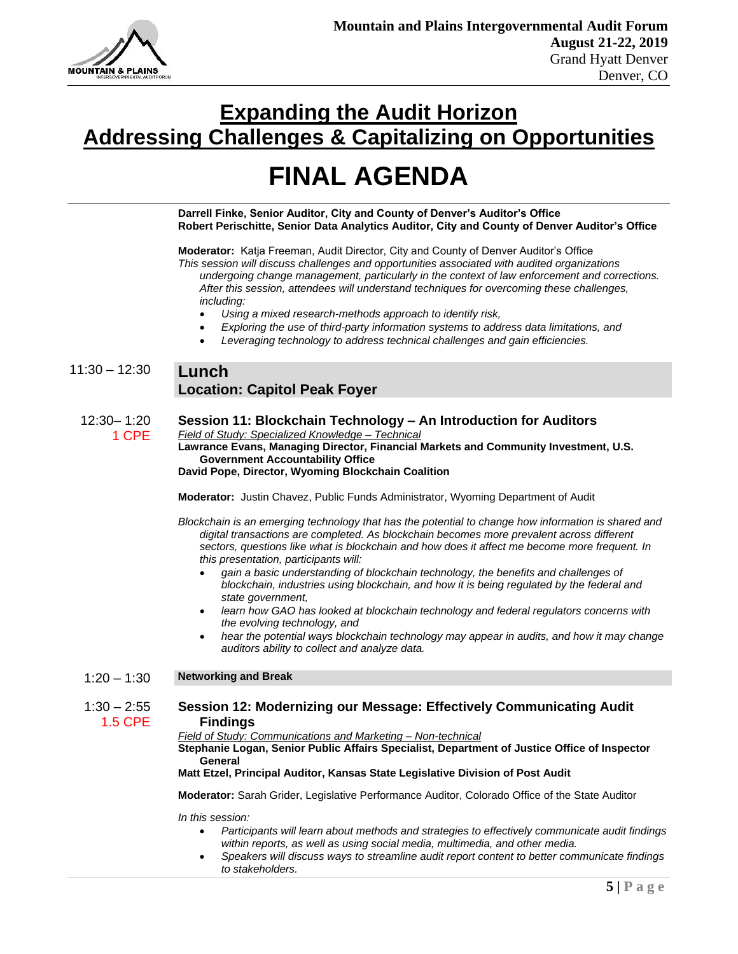

# **FINAL AGENDA**

**Darrell Finke, Senior Auditor, City and County of Denver's Auditor's Office Robert Perischitte, Senior Data Analytics Auditor, City and County of Denver Auditor's Office**

**Moderator:** Katja Freeman, Audit Director, City and County of Denver Auditor's Office

*This session will discuss challenges and opportunities associated with audited organizations undergoing change management, particularly in the context of law enforcement and corrections. After this session, attendees will understand techniques for overcoming these challenges, including:*

- *Using a mixed research-methods approach to identify risk,*
- *Exploring the use of third-party information systems to address data limitations, and*
- *Leveraging technology to address technical challenges and gain efficiencies.*

### 11:30 – 12:30 **Lunch Location: Capitol Peak Foyer**

12:30– 1:20 1 CPE **Session 11: Blockchain Technology – An Introduction for Auditors**  *Field of Study: Specialized Knowledge – Technical* **Lawrance Evans, Managing Director, Financial Markets and Community Investment, U.S. Government Accountability Office**

**David Pope, Director, Wyoming Blockchain Coalition**

**Moderator:** Justin Chavez, Public Funds Administrator, Wyoming Department of Audit

*Blockchain is an emerging technology that has the potential to change how information is shared and digital transactions are completed. As blockchain becomes more prevalent across different sectors, questions like what is blockchain and how does it affect me become more frequent. In this presentation, participants will:*

- *gain a basic understanding of blockchain technology, the benefits and challenges of blockchain, industries using blockchain, and how it is being regulated by the federal and state government,*
- *learn how GAO has looked at blockchain technology and federal regulators concerns with the evolving technology, and*
- *hear the potential ways blockchain technology may appear in audits, and how it may change auditors ability to collect and analyze data.*
- 1:20 1:30 **Networking and Break**

#### $1:30 - 2:55$ 1.5 CPE **Session 12: Modernizing our Message: Effectively Communicating Audit Findings**

*Field of Study: Communications and Marketing – Non-technical*

**Stephanie Logan, Senior Public Affairs Specialist, Department of Justice Office of Inspector General**

### **Matt Etzel, Principal Auditor, Kansas State Legislative Division of Post Audit**

**Moderator:** Sarah Grider, Legislative Performance Auditor, Colorado Office of the State Auditor

*In this session:*

- *Participants will learn about methods and strategies to effectively communicate audit findings within reports, as well as using social media, multimedia, and other media.*
- *Speakers will discuss ways to streamline audit report content to better communicate findings to stakeholders.*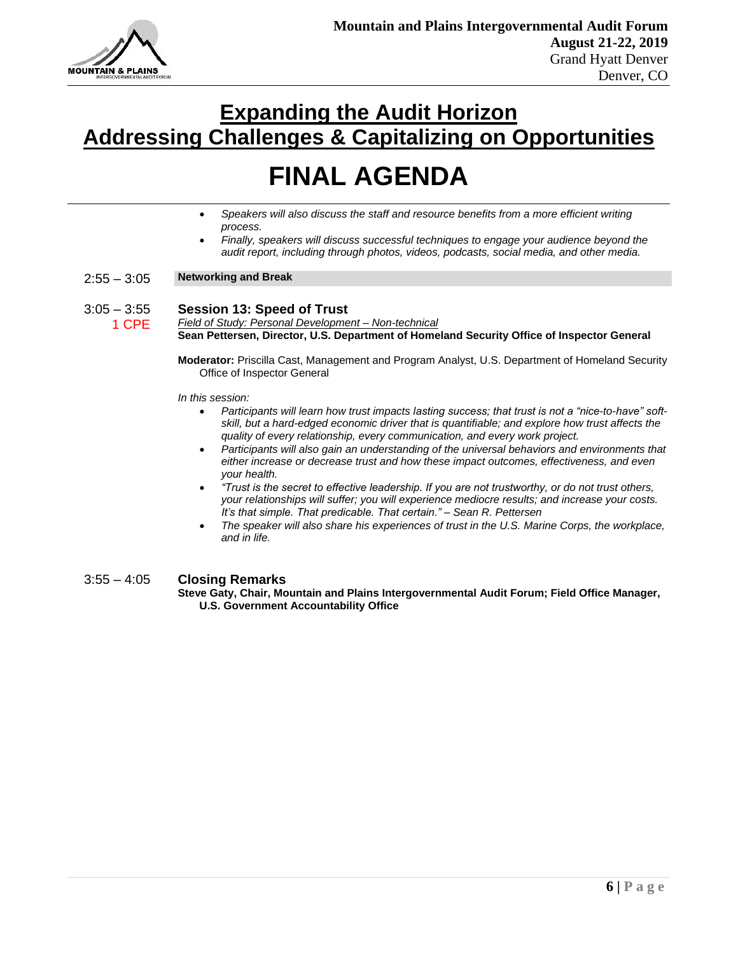

# **FINAL AGENDA**

- *Speakers will also discuss the staff and resource benefits from a more efficient writing process.*
- *Finally, speakers will discuss successful techniques to engage your audience beyond the audit report, including through photos, videos, podcasts, social media, and other media.*

### 2:55 – 3:05 **Networking and Break**

#### $3:05 - 3:55$ 1 CPE **Session 13: Speed of Trust** *Field of Study: Personal Development – Non-technical*

**Sean Pettersen, Director, U.S. Department of Homeland Security Office of Inspector General**

**Moderator:** Priscilla Cast, Management and Program Analyst, U.S. Department of Homeland Security Office of Inspector General

*In this session:* 

- *Participants will learn how trust impacts lasting success; that trust is not a "nice-to-have" softskill, but a hard-edged economic driver that is quantifiable; and explore how trust affects the quality of every relationship, every communication, and every work project.*
- *Participants will also gain an understanding of the universal behaviors and environments that either increase or decrease trust and how these impact outcomes, effectiveness, and even your health.*
- *"Trust is the secret to effective leadership. If you are not trustworthy, or do not trust others, your relationships will suffer; you will experience mediocre results; and increase your costs. It's that simple. That predicable. That certain." – Sean R. Pettersen*
- *The speaker will also share his experiences of trust in the U.S. Marine Corps, the workplace, and in life.*

### 3:55 – 4:05 **Closing Remarks**

**Steve Gaty, Chair, Mountain and Plains Intergovernmental Audit Forum; Field Office Manager, U.S. Government Accountability Office**